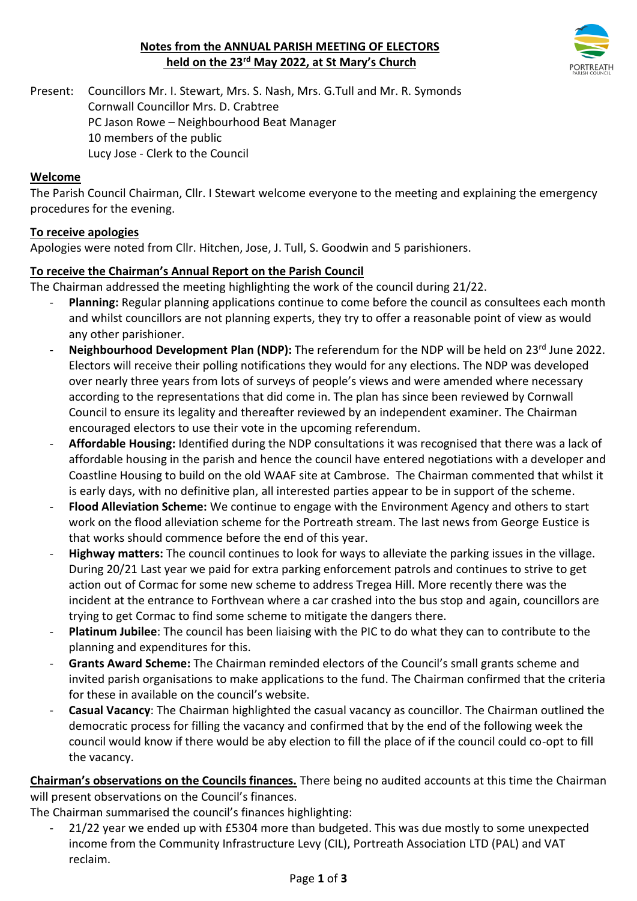# **Notes from the ANNUAL PARISH MEETING OF ELECTORS held on the 23rd May 2022, at St Mary's Church**



Present: Councillors Mr. I. Stewart, Mrs. S. Nash, Mrs. G.Tull and Mr. R. Symonds Cornwall Councillor Mrs. D. Crabtree PC Jason Rowe – Neighbourhood Beat Manager 10 members of the public Lucy Jose - Clerk to the Council

#### **Welcome**

The Parish Council Chairman, Cllr. I Stewart welcome everyone to the meeting and explaining the emergency procedures for the evening.

#### **To receive apologies**

Apologies were noted from Cllr. Hitchen, Jose, J. Tull, S. Goodwin and 5 parishioners.

#### **To receive the Chairman's Annual Report on the Parish Council**

The Chairman addressed the meeting highlighting the work of the council during 21/22.

- Planning: Regular planning applications continue to come before the council as consultees each month and whilst councillors are not planning experts, they try to offer a reasonable point of view as would any other parishioner.
- Neighbourhood Development Plan (NDP): The referendum for the NDP will be held on 23<sup>rd</sup> June 2022. Electors will receive their polling notifications they would for any elections. The NDP was developed over nearly three years from lots of surveys of people's views and were amended where necessary according to the representations that did come in. The plan has since been reviewed by Cornwall Council to ensure its legality and thereafter reviewed by an independent examiner. The Chairman encouraged electors to use their vote in the upcoming referendum.
- **Affordable Housing:** Identified during the NDP consultations it was recognised that there was a lack of affordable housing in the parish and hence the council have entered negotiations with a developer and Coastline Housing to build on the old WAAF site at Cambrose. The Chairman commented that whilst it is early days, with no definitive plan, all interested parties appear to be in support of the scheme.
- **Flood Alleviation Scheme:** We continue to engage with the Environment Agency and others to start work on the flood alleviation scheme for the Portreath stream. The last news from George Eustice is that works should commence before the end of this year.
- **Highway matters:** The council continues to look for ways to alleviate the parking issues in the village. During 20/21 Last year we paid for extra parking enforcement patrols and continues to strive to get action out of Cormac for some new scheme to address Tregea Hill. More recently there was the incident at the entrance to Forthvean where a car crashed into the bus stop and again, councillors are trying to get Cormac to find some scheme to mitigate the dangers there.
- **Platinum Jubilee**: The council has been liaising with the PIC to do what they can to contribute to the planning and expenditures for this.
- **Grants Award Scheme:** The Chairman reminded electors of the Council's small grants scheme and invited parish organisations to make applications to the fund. The Chairman confirmed that the criteria for these in available on the council's website.
- **Casual Vacancy**: The Chairman highlighted the casual vacancy as councillor. The Chairman outlined the democratic process for filling the vacancy and confirmed that by the end of the following week the council would know if there would be aby election to fill the place of if the council could co-opt to fill the vacancy.

**Chairman's observations on the Councils finances.** There being no audited accounts at this time the Chairman will present observations on the Council's finances.

The Chairman summarised the council's finances highlighting:

- 21/22 year we ended up with £5304 more than budgeted. This was due mostly to some unexpected income from the Community Infrastructure Levy (CIL), Portreath Association LTD (PAL) and VAT reclaim.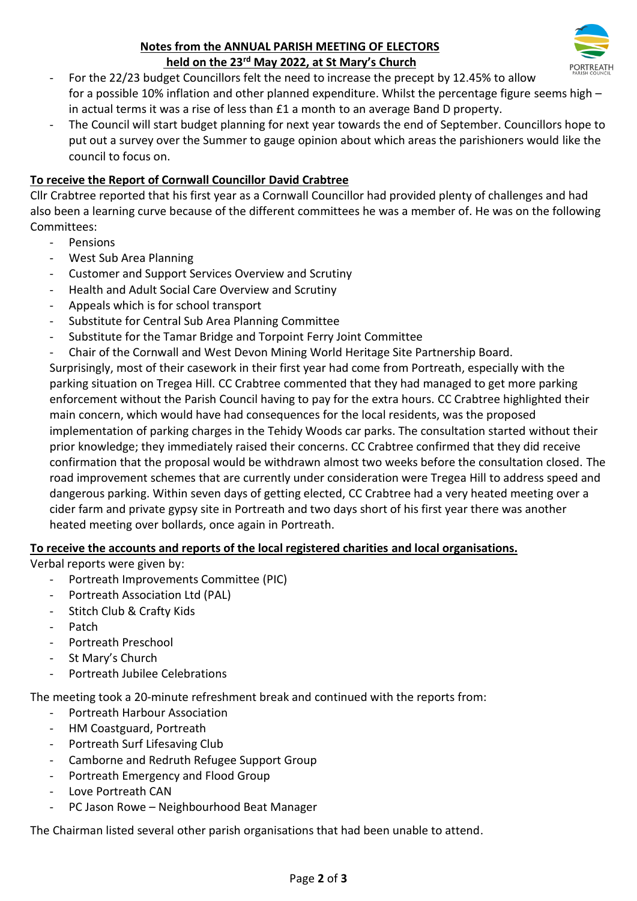### **Notes from the ANNUAL PARISH MEETING OF ELECTORS held on the 23rd May 2022, at St Mary's Church**



- For the 22/23 budget Councillors felt the need to increase the precept by 12.45% to allow for a possible 10% inflation and other planned expenditure. Whilst the percentage figure seems high – in actual terms it was a rise of less than £1 a month to an average Band D property.
- The Council will start budget planning for next year towards the end of September. Councillors hope to put out a survey over the Summer to gauge opinion about which areas the parishioners would like the council to focus on.

### **To receive the Report of Cornwall Councillor David Crabtree**

Cllr Crabtree reported that his first year as a Cornwall Councillor had provided plenty of challenges and had also been a learning curve because of the different committees he was a member of. He was on the following Committees:

- Pensions
- West Sub Area Planning
- Customer and Support Services Overview and Scrutiny
- Health and Adult Social Care Overview and Scrutiny
- Appeals which is for school transport
- Substitute for Central Sub Area Planning Committee
- Substitute for the Tamar Bridge and Torpoint Ferry Joint Committee
- Chair of the Cornwall and West Devon Mining World Heritage Site Partnership Board.

Surprisingly, most of their casework in their first year had come from Portreath, especially with the parking situation on Tregea Hill. CC Crabtree commented that they had managed to get more parking enforcement without the Parish Council having to pay for the extra hours. CC Crabtree highlighted their main concern, which would have had consequences for the local residents, was the proposed implementation of parking charges in the Tehidy Woods car parks. The consultation started without their prior knowledge; they immediately raised their concerns. CC Crabtree confirmed that they did receive confirmation that the proposal would be withdrawn almost two weeks before the consultation closed. The road improvement schemes that are currently under consideration were Tregea Hill to address speed and dangerous parking. Within seven days of getting elected, CC Crabtree had a very heated meeting over a cider farm and private gypsy site in Portreath and two days short of his first year there was another heated meeting over bollards, once again in Portreath.

# **To receive the accounts and reports of the local registered charities and local organisations.**

Verbal reports were given by:

- Portreath Improvements Committee (PIC)
- Portreath Association Ltd (PAL)
- Stitch Club & Crafty Kids
- Patch
- Portreath Preschool
- St Mary's Church
- Portreath Jubilee Celebrations

The meeting took a 20-minute refreshment break and continued with the reports from:

- Portreath Harbour Association
- HM Coastguard, Portreath
- Portreath Surf Lifesaving Club
- Camborne and Redruth Refugee Support Group
- Portreath Emergency and Flood Group
- Love Portreath CAN
- PC Jason Rowe Neighbourhood Beat Manager

The Chairman listed several other parish organisations that had been unable to attend.